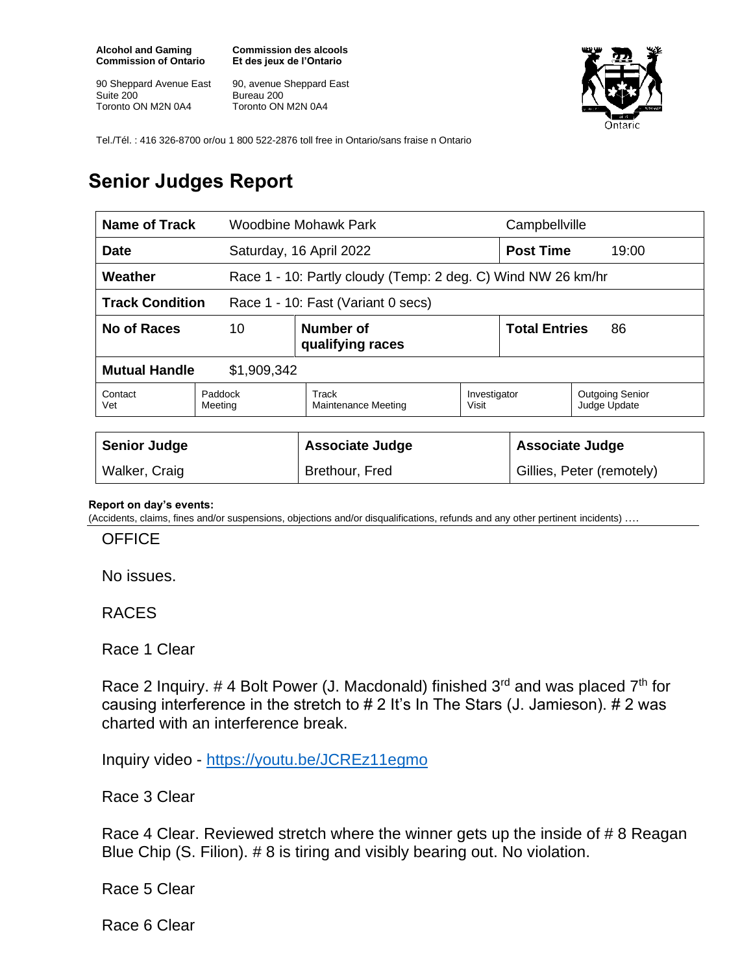**Alcohol and Gaming Commission of Ontario**

90 Sheppard Avenue East Suite 200 Toronto ON M2N 0A4

**Commission des alcools Et des jeux de l'Ontario**

90, avenue Sheppard East Bureau 200 Toronto ON M2N 0A4



Tel./Tél. : 416 326-8700 or/ou 1 800 522-2876 toll free in Ontario/sans fraise n Ontario

## **Senior Judges Report**

| <b>Name of Track</b>                                         |                                     | Woodbine Mohawk Park                                         |                       | Campbellville              |                                        |  |
|--------------------------------------------------------------|-------------------------------------|--------------------------------------------------------------|-----------------------|----------------------------|----------------------------------------|--|
| <b>Date</b>                                                  |                                     | Saturday, 16 April 2022                                      |                       | <b>Post Time</b>           | 19:00                                  |  |
| Weather                                                      |                                     | Race 1 - 10: Partly cloudy (Temp: 2 deg. C) Wind NW 26 km/hr |                       |                            |                                        |  |
| <b>Track Condition</b><br>Race 1 - 10: Fast (Variant 0 secs) |                                     |                                                              |                       |                            |                                        |  |
| No of Races                                                  | 10<br>Number of<br>qualifying races |                                                              |                       | <b>Total Entries</b><br>86 |                                        |  |
| <b>Mutual Handle</b><br>\$1,909,342                          |                                     |                                                              |                       |                            |                                        |  |
| Contact<br>Vet                                               | Paddock<br>Meeting                  | Track<br>Maintenance Meeting                                 | Investigator<br>Visit |                            | <b>Outgoing Senior</b><br>Judge Update |  |
|                                                              |                                     |                                                              |                       |                            |                                        |  |
| <b>Senior Judge</b>                                          |                                     | <b>Associate Judge</b>                                       |                       | <b>Associate Judge</b>     |                                        |  |
| Walker, Craig                                                |                                     | Brethour, Fred                                               |                       | Gillies, Peter (remotely)  |                                        |  |

## **Report on day's events:**

(Accidents, claims, fines and/or suspensions, objections and/or disqualifications, refunds and any other pertinent incidents) ….

**OFFICE** 

No issues.

RACES

Race 1 Clear

Race 2 Inquiry. # 4 Bolt Power (J. Macdonald) finished  $3<sup>rd</sup>$  and was placed  $7<sup>th</sup>$  for causing interference in the stretch to # 2 It's In The Stars (J. Jamieson). # 2 was charted with an interference break.

Inquiry video - <https://youtu.be/JCREz11egmo>

Race 3 Clear

Race 4 Clear. Reviewed stretch where the winner gets up the inside of # 8 Reagan Blue Chip (S. Filion). # 8 is tiring and visibly bearing out. No violation.

Race 5 Clear

Race 6 Clear